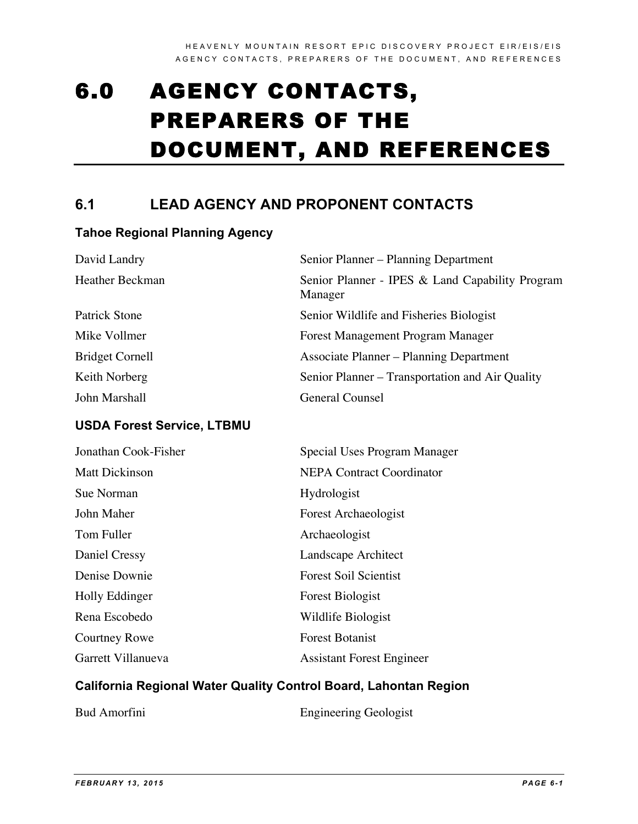# 6.0 AGENCY CONTACTS, PREPARERS OF THE DOCUMENT, AND REFERENCES

# **6.1 LEAD AGENCY AND PROPONENT CONTACTS**

## **Tahoe Regional Planning Agency**

| David Landry           | Senior Planner – Planning Department                       |
|------------------------|------------------------------------------------------------|
| Heather Beckman        | Senior Planner - IPES & Land Capability Program<br>Manager |
| <b>Patrick Stone</b>   | Senior Wildlife and Fisheries Biologist                    |
| Mike Vollmer           | Forest Management Program Manager                          |
| <b>Bridget Cornell</b> | <b>Associate Planner – Planning Department</b>             |
| Keith Norberg          | Senior Planner – Transportation and Air Quality            |
| John Marshall          | General Counsel                                            |

## **USDA Forest Service, LTBMU**

| Jonathan Cook-Fisher  | Special Uses Program Manager     |
|-----------------------|----------------------------------|
| <b>Matt Dickinson</b> | <b>NEPA Contract Coordinator</b> |
| Sue Norman            | <b>Hydrologist</b>               |
| John Maher            | <b>Forest Archaeologist</b>      |
| Tom Fuller            | Archaeologist                    |
| Daniel Cressy         | Landscape Architect              |
| Denise Downie         | <b>Forest Soil Scientist</b>     |
| Holly Eddinger        | <b>Forest Biologist</b>          |
| Rena Escobedo         | Wildlife Biologist               |
| Courtney Rowe         | <b>Forest Botanist</b>           |
| Garrett Villanueva    | <b>Assistant Forest Engineer</b> |

## **California Regional Water Quality Control Board, Lahontan Region**

| <b>Engineering Geologist</b> |
|------------------------------|
|                              |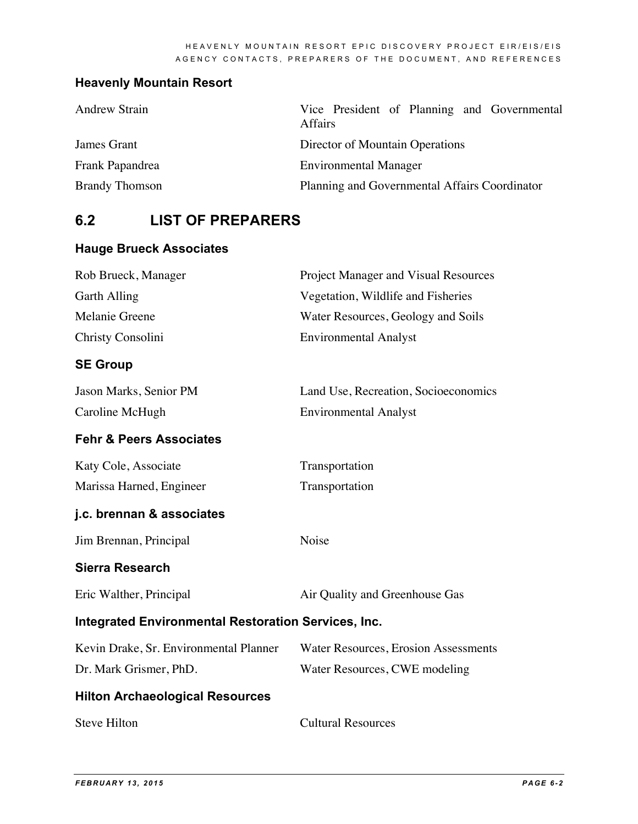# **Heavenly Mountain Resort**

| <b>Andrew Strain</b>  | Vice President of Planning and Governmental<br>Affairs |
|-----------------------|--------------------------------------------------------|
| James Grant           | Director of Mountain Operations                        |
| Frank Papandrea       | <b>Environmental Manager</b>                           |
| <b>Brandy Thomson</b> | Planning and Governmental Affairs Coordinator          |

# **6.2 LIST OF PREPARERS**

# **Hauge Brueck Associates**

| Rob Brueck, Manager                                        | Project Manager and Visual Resources        |  |
|------------------------------------------------------------|---------------------------------------------|--|
| <b>Garth Alling</b>                                        | Vegetation, Wildlife and Fisheries          |  |
| Melanie Greene                                             | Water Resources, Geology and Soils          |  |
| Christy Consolini                                          | <b>Environmental Analyst</b>                |  |
| <b>SE Group</b>                                            |                                             |  |
| Jason Marks, Senior PM                                     | Land Use, Recreation, Socioeconomics        |  |
| Caroline McHugh                                            | <b>Environmental Analyst</b>                |  |
| <b>Fehr &amp; Peers Associates</b>                         |                                             |  |
| Katy Cole, Associate                                       | Transportation                              |  |
| Marissa Harned, Engineer                                   | Transportation                              |  |
| j.c. brennan & associates                                  |                                             |  |
| Jim Brennan, Principal                                     | Noise                                       |  |
| <b>Sierra Research</b>                                     |                                             |  |
| Eric Walther, Principal                                    | Air Quality and Greenhouse Gas              |  |
| <b>Integrated Environmental Restoration Services, Inc.</b> |                                             |  |
| Kevin Drake, Sr. Environmental Planner                     | <b>Water Resources, Erosion Assessments</b> |  |
| Dr. Mark Grismer, PhD.                                     | Water Resources, CWE modeling               |  |
| <b>Hilton Archaeological Resources</b>                     |                                             |  |
| <b>Steve Hilton</b>                                        | <b>Cultural Resources</b>                   |  |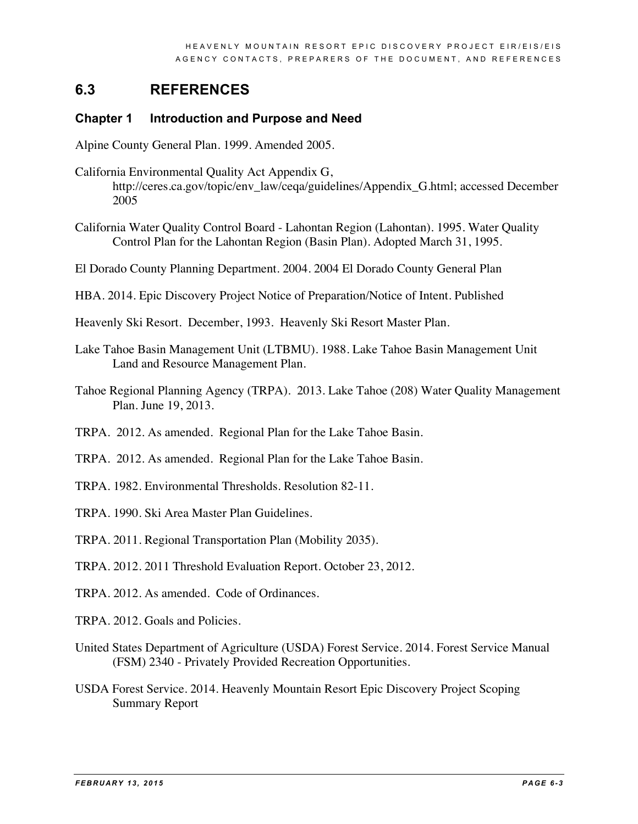# **6.3 REFERENCES**

#### **Chapter 1 Introduction and Purpose and Need**

Alpine County General Plan. 1999. Amended 2005.

- California Environmental Quality Act Appendix G, http://ceres.ca.gov/topic/env\_law/ceqa/guidelines/Appendix\_G.html; accessed December 2005
- California Water Quality Control Board Lahontan Region (Lahontan). 1995. Water Quality Control Plan for the Lahontan Region (Basin Plan). Adopted March 31, 1995.

El Dorado County Planning Department. 2004. 2004 El Dorado County General Plan

- HBA. 2014. Epic Discovery Project Notice of Preparation/Notice of Intent. Published
- Heavenly Ski Resort. December, 1993. Heavenly Ski Resort Master Plan.
- Lake Tahoe Basin Management Unit (LTBMU). 1988. Lake Tahoe Basin Management Unit Land and Resource Management Plan.
- Tahoe Regional Planning Agency (TRPA). 2013. Lake Tahoe (208) Water Quality Management Plan. June 19, 2013.
- TRPA. 2012. As amended. Regional Plan for the Lake Tahoe Basin.
- TRPA. 2012. As amended. Regional Plan for the Lake Tahoe Basin.
- TRPA. 1982. Environmental Thresholds. Resolution 82-11.
- TRPA. 1990. Ski Area Master Plan Guidelines.

TRPA. 2011. Regional Transportation Plan (Mobility 2035).

- TRPA. 2012. 2011 Threshold Evaluation Report. October 23, 2012.
- TRPA. 2012. As amended. Code of Ordinances.
- TRPA. 2012. Goals and Policies.
- United States Department of Agriculture (USDA) Forest Service. 2014. Forest Service Manual (FSM) 2340 - Privately Provided Recreation Opportunities.
- USDA Forest Service. 2014. Heavenly Mountain Resort Epic Discovery Project Scoping Summary Report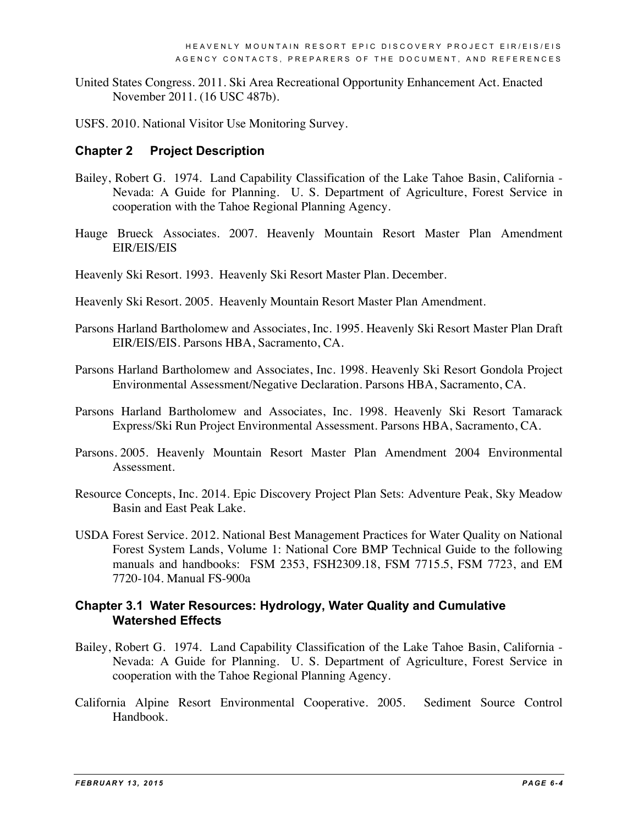- United States Congress. 2011. Ski Area Recreational Opportunity Enhancement Act. Enacted November 2011. (16 USC 487b).
- USFS. 2010. National Visitor Use Monitoring Survey.

#### **Chapter 2 Project Description**

- Bailey, Robert G. 1974. Land Capability Classification of the Lake Tahoe Basin, California Nevada: A Guide for Planning. U. S. Department of Agriculture, Forest Service in cooperation with the Tahoe Regional Planning Agency.
- Hauge Brueck Associates. 2007. Heavenly Mountain Resort Master Plan Amendment EIR/EIS/EIS
- Heavenly Ski Resort. 1993. Heavenly Ski Resort Master Plan. December.
- Heavenly Ski Resort. 2005. Heavenly Mountain Resort Master Plan Amendment.
- Parsons Harland Bartholomew and Associates, Inc. 1995. Heavenly Ski Resort Master Plan Draft EIR/EIS/EIS. Parsons HBA, Sacramento, CA.
- Parsons Harland Bartholomew and Associates, Inc. 1998. Heavenly Ski Resort Gondola Project Environmental Assessment/Negative Declaration. Parsons HBA, Sacramento, CA.
- Parsons Harland Bartholomew and Associates, Inc. 1998. Heavenly Ski Resort Tamarack Express/Ski Run Project Environmental Assessment. Parsons HBA, Sacramento, CA.
- Parsons. 2005. Heavenly Mountain Resort Master Plan Amendment 2004 Environmental Assessment.
- Resource Concepts, Inc. 2014. Epic Discovery Project Plan Sets: Adventure Peak, Sky Meadow Basin and East Peak Lake.
- USDA Forest Service. 2012. National Best Management Practices for Water Quality on National Forest System Lands, Volume 1: National Core BMP Technical Guide to the following manuals and handbooks: FSM 2353, FSH2309.18, FSM 7715.5, FSM 7723, and EM 7720-104. Manual FS-900a

#### **Chapter 3.1 Water Resources: Hydrology, Water Quality and Cumulative Watershed Effects**

- Bailey, Robert G. 1974. Land Capability Classification of the Lake Tahoe Basin, California Nevada: A Guide for Planning. U. S. Department of Agriculture, Forest Service in cooperation with the Tahoe Regional Planning Agency.
- California Alpine Resort Environmental Cooperative. 2005. Sediment Source Control Handbook.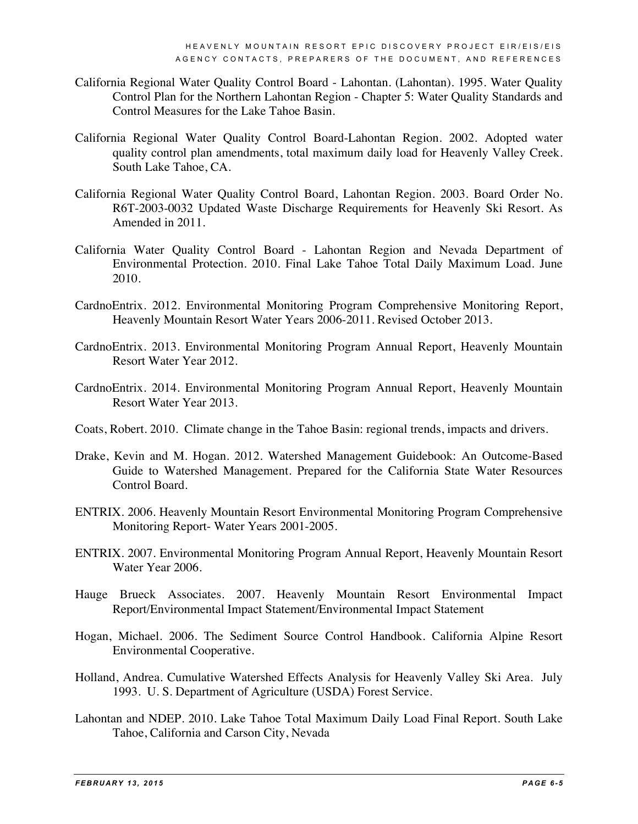- California Regional Water Quality Control Board Lahontan. (Lahontan). 1995. Water Quality Control Plan for the Northern Lahontan Region - Chapter 5: Water Quality Standards and Control Measures for the Lake Tahoe Basin.
- California Regional Water Quality Control Board-Lahontan Region. 2002. Adopted water quality control plan amendments, total maximum daily load for Heavenly Valley Creek. South Lake Tahoe, CA.
- California Regional Water Quality Control Board, Lahontan Region. 2003. Board Order No. R6T-2003-0032 Updated Waste Discharge Requirements for Heavenly Ski Resort. As Amended in 2011.
- California Water Quality Control Board Lahontan Region and Nevada Department of Environmental Protection. 2010. Final Lake Tahoe Total Daily Maximum Load. June 2010.
- CardnoEntrix. 2012. Environmental Monitoring Program Comprehensive Monitoring Report, Heavenly Mountain Resort Water Years 2006-2011. Revised October 2013.
- CardnoEntrix. 2013. Environmental Monitoring Program Annual Report, Heavenly Mountain Resort Water Year 2012.
- CardnoEntrix. 2014. Environmental Monitoring Program Annual Report, Heavenly Mountain Resort Water Year 2013.
- Coats, Robert. 2010. Climate change in the Tahoe Basin: regional trends, impacts and drivers.
- Drake, Kevin and M. Hogan. 2012. Watershed Management Guidebook: An Outcome-Based Guide to Watershed Management. Prepared for the California State Water Resources Control Board.
- ENTRIX. 2006. Heavenly Mountain Resort Environmental Monitoring Program Comprehensive Monitoring Report- Water Years 2001-2005.
- ENTRIX. 2007. Environmental Monitoring Program Annual Report, Heavenly Mountain Resort Water Year 2006.
- Hauge Brueck Associates. 2007. Heavenly Mountain Resort Environmental Impact Report/Environmental Impact Statement/Environmental Impact Statement
- Hogan, Michael. 2006. The Sediment Source Control Handbook. California Alpine Resort Environmental Cooperative.
- Holland, Andrea. Cumulative Watershed Effects Analysis for Heavenly Valley Ski Area. July 1993. U. S. Department of Agriculture (USDA) Forest Service.
- Lahontan and NDEP. 2010. Lake Tahoe Total Maximum Daily Load Final Report. South Lake Tahoe, California and Carson City, Nevada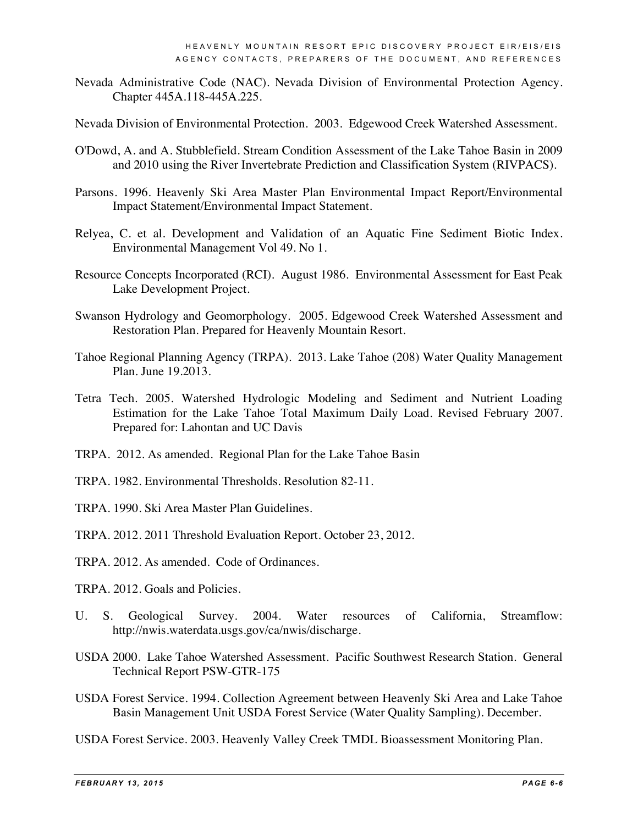- Nevada Administrative Code (NAC). Nevada Division of Environmental Protection Agency. Chapter 445A.118-445A.225.
- Nevada Division of Environmental Protection. 2003. Edgewood Creek Watershed Assessment.
- O'Dowd, A. and A. Stubblefield. Stream Condition Assessment of the Lake Tahoe Basin in 2009 and 2010 using the River Invertebrate Prediction and Classification System (RIVPACS).
- Parsons. 1996. Heavenly Ski Area Master Plan Environmental Impact Report/Environmental Impact Statement/Environmental Impact Statement.
- Relyea, C. et al. Development and Validation of an Aquatic Fine Sediment Biotic Index. Environmental Management Vol 49. No 1.
- Resource Concepts Incorporated (RCI). August 1986. Environmental Assessment for East Peak Lake Development Project.
- Swanson Hydrology and Geomorphology. 2005. Edgewood Creek Watershed Assessment and Restoration Plan. Prepared for Heavenly Mountain Resort.
- Tahoe Regional Planning Agency (TRPA). 2013. Lake Tahoe (208) Water Quality Management Plan. June 19.2013.
- Tetra Tech. 2005. Watershed Hydrologic Modeling and Sediment and Nutrient Loading Estimation for the Lake Tahoe Total Maximum Daily Load. Revised February 2007. Prepared for: Lahontan and UC Davis
- TRPA. 2012. As amended. Regional Plan for the Lake Tahoe Basin
- TRPA. 1982. Environmental Thresholds. Resolution 82-11.
- TRPA. 1990. Ski Area Master Plan Guidelines.
- TRPA. 2012. 2011 Threshold Evaluation Report. October 23, 2012.
- TRPA. 2012. As amended. Code of Ordinances.
- TRPA. 2012. Goals and Policies.
- U. S. Geological Survey. 2004. Water resources of California, Streamflow: http://nwis.waterdata.usgs.gov/ca/nwis/discharge.
- USDA 2000. Lake Tahoe Watershed Assessment. Pacific Southwest Research Station. General Technical Report PSW-GTR-175
- USDA Forest Service. 1994. Collection Agreement between Heavenly Ski Area and Lake Tahoe Basin Management Unit USDA Forest Service (Water Quality Sampling). December.
- USDA Forest Service. 2003. Heavenly Valley Creek TMDL Bioassessment Monitoring Plan.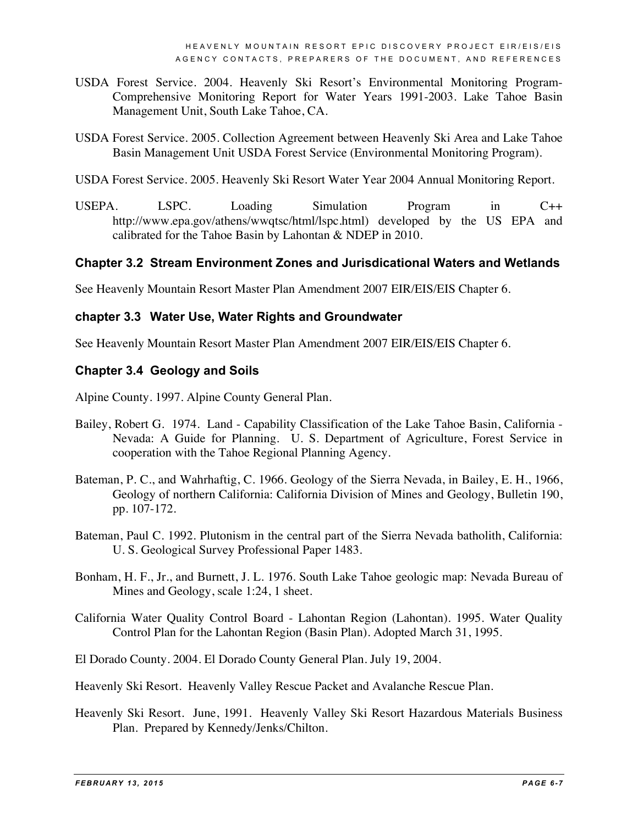- USDA Forest Service. 2004. Heavenly Ski Resort's Environmental Monitoring Program-Comprehensive Monitoring Report for Water Years 1991-2003. Lake Tahoe Basin Management Unit, South Lake Tahoe, CA.
- USDA Forest Service. 2005. Collection Agreement between Heavenly Ski Area and Lake Tahoe Basin Management Unit USDA Forest Service (Environmental Monitoring Program).
- USDA Forest Service. 2005. Heavenly Ski Resort Water Year 2004 Annual Monitoring Report.
- USEPA. LSPC. Loading Simulation Program in C++ http://www.epa.gov/athens/wwqtsc/html/lspc.html) developed by the US EPA and calibrated for the Tahoe Basin by Lahontan & NDEP in 2010.

### **Chapter 3.2 Stream Environment Zones and Jurisdicational Waters and Wetlands**

See Heavenly Mountain Resort Master Plan Amendment 2007 EIR/EIS/EIS Chapter 6.

#### **chapter 3.3 Water Use, Water Rights and Groundwater**

See Heavenly Mountain Resort Master Plan Amendment 2007 EIR/EIS/EIS Chapter 6.

#### **Chapter 3.4 Geology and Soils**

Alpine County. 1997. Alpine County General Plan.

- Bailey, Robert G. 1974. Land Capability Classification of the Lake Tahoe Basin, California Nevada: A Guide for Planning. U. S. Department of Agriculture, Forest Service in cooperation with the Tahoe Regional Planning Agency.
- Bateman, P. C., and Wahrhaftig, C. 1966. Geology of the Sierra Nevada, in Bailey, E. H., 1966, Geology of northern California: California Division of Mines and Geology, Bulletin 190, pp. 107-172.
- Bateman, Paul C. 1992. Plutonism in the central part of the Sierra Nevada batholith, California: U. S. Geological Survey Professional Paper 1483.
- Bonham, H. F., Jr., and Burnett, J. L. 1976. South Lake Tahoe geologic map: Nevada Bureau of Mines and Geology, scale 1:24, 1 sheet.
- California Water Quality Control Board Lahontan Region (Lahontan). 1995. Water Quality Control Plan for the Lahontan Region (Basin Plan). Adopted March 31, 1995.
- El Dorado County. 2004. El Dorado County General Plan. July 19, 2004.
- Heavenly Ski Resort. Heavenly Valley Rescue Packet and Avalanche Rescue Plan.
- Heavenly Ski Resort. June, 1991. Heavenly Valley Ski Resort Hazardous Materials Business Plan. Prepared by Kennedy/Jenks/Chilton.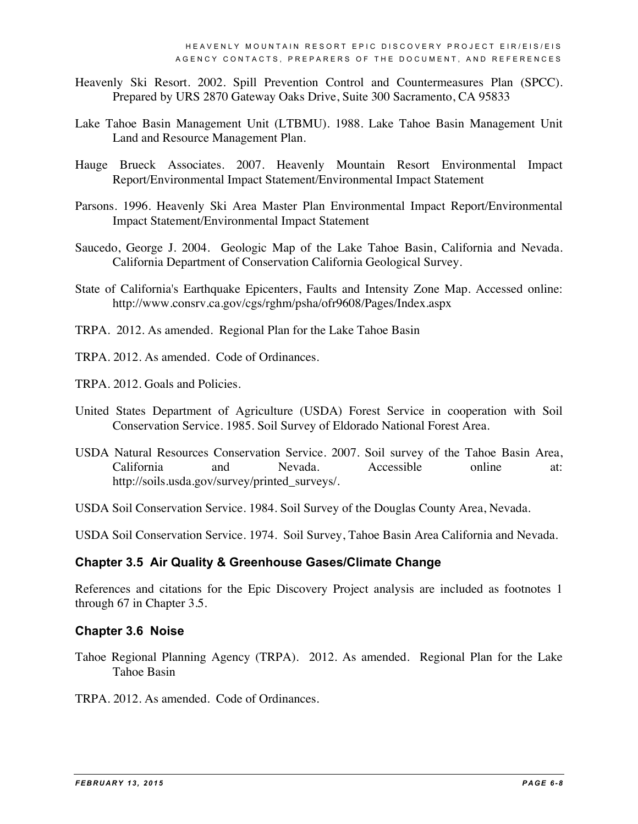- Heavenly Ski Resort. 2002. Spill Prevention Control and Countermeasures Plan (SPCC). Prepared by URS 2870 Gateway Oaks Drive, Suite 300 Sacramento, CA 95833
- Lake Tahoe Basin Management Unit (LTBMU). 1988. Lake Tahoe Basin Management Unit Land and Resource Management Plan.
- Hauge Brueck Associates. 2007. Heavenly Mountain Resort Environmental Impact Report/Environmental Impact Statement/Environmental Impact Statement
- Parsons. 1996. Heavenly Ski Area Master Plan Environmental Impact Report/Environmental Impact Statement/Environmental Impact Statement
- Saucedo, George J. 2004. Geologic Map of the Lake Tahoe Basin, California and Nevada. California Department of Conservation California Geological Survey.
- State of California's Earthquake Epicenters, Faults and Intensity Zone Map. Accessed online: http://www.consrv.ca.gov/cgs/rghm/psha/ofr9608/Pages/Index.aspx
- TRPA. 2012. As amended. Regional Plan for the Lake Tahoe Basin
- TRPA. 2012. As amended. Code of Ordinances.
- TRPA. 2012. Goals and Policies.
- United States Department of Agriculture (USDA) Forest Service in cooperation with Soil Conservation Service. 1985. Soil Survey of Eldorado National Forest Area.
- USDA Natural Resources Conservation Service. 2007. Soil survey of the Tahoe Basin Area, California and Nevada. Accessible online at: http://soils.usda.gov/survey/printed\_surveys/.
- USDA Soil Conservation Service. 1984. Soil Survey of the Douglas County Area, Nevada.

USDA Soil Conservation Service. 1974. Soil Survey, Tahoe Basin Area California and Nevada*.*

#### **Chapter 3.5 Air Quality & Greenhouse Gases/Climate Change**

References and citations for the Epic Discovery Project analysis are included as footnotes 1 through 67 in Chapter 3.5.

#### **Chapter 3.6 Noise**

- Tahoe Regional Planning Agency (TRPA). 2012. As amended. Regional Plan for the Lake Tahoe Basin
- TRPA. 2012. As amended. Code of Ordinances.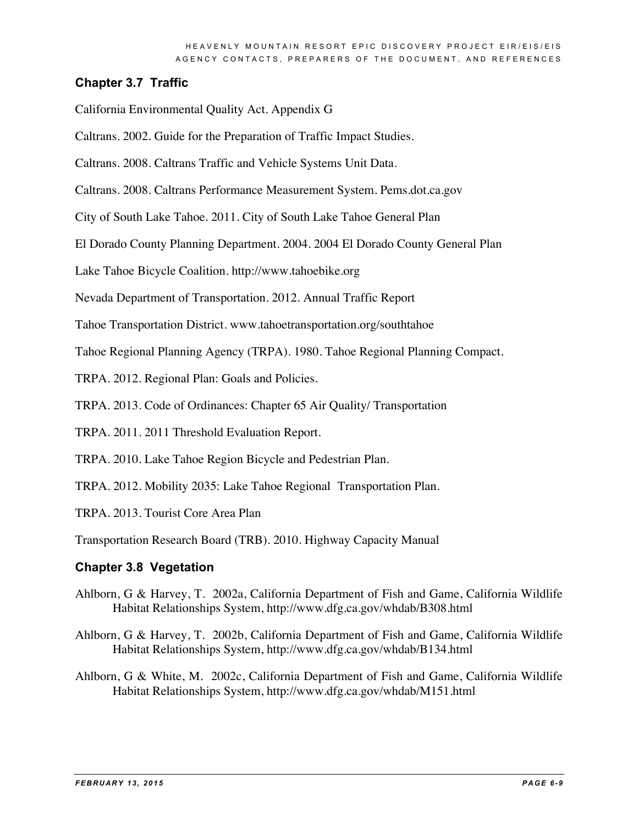## **Chapter 3.7 Traffic**

California Environmental Quality Act. Appendix G

- Caltrans. 2002. Guide for the Preparation of Traffic Impact Studies.
- Caltrans. 2008. Caltrans Traffic and Vehicle Systems Unit Data.
- Caltrans. 2008. Caltrans Performance Measurement System. Pems.dot.ca.gov
- City of South Lake Tahoe. 2011. City of South Lake Tahoe General Plan
- El Dorado County Planning Department. 2004. 2004 El Dorado County General Plan
- Lake Tahoe Bicycle Coalition. http://www.tahoebike.org
- Nevada Department of Transportation. 2012. Annual Traffic Report
- Tahoe Transportation District. www.tahoetransportation.org/southtahoe
- Tahoe Regional Planning Agency (TRPA). 1980. Tahoe Regional Planning Compact.
- TRPA. 2012. Regional Plan: Goals and Policies.
- TRPA. 2013. Code of Ordinances: Chapter 65 Air Quality/ Transportation
- TRPA. 2011. 2011 Threshold Evaluation Report.
- TRPA. 2010. Lake Tahoe Region Bicycle and Pedestrian Plan.
- TRPA. 2012. Mobility 2035: Lake Tahoe Regional Transportation Plan.
- TRPA. 2013. Tourist Core Area Plan
- Transportation Research Board (TRB). 2010. Highway Capacity Manual

#### **Chapter 3.8 Vegetation**

- Ahlborn, G & Harvey, T. 2002a, California Department of Fish and Game, California Wildlife Habitat Relationships System, http://www.dfg.ca.gov/whdab/B308.html
- Ahlborn, G & Harvey, T. 2002b, California Department of Fish and Game, California Wildlife Habitat Relationships System, http://www.dfg.ca.gov/whdab/B134.html
- Ahlborn, G & White, M. 2002c, California Department of Fish and Game, California Wildlife Habitat Relationships System, http://www.dfg.ca.gov/whdab/M151.html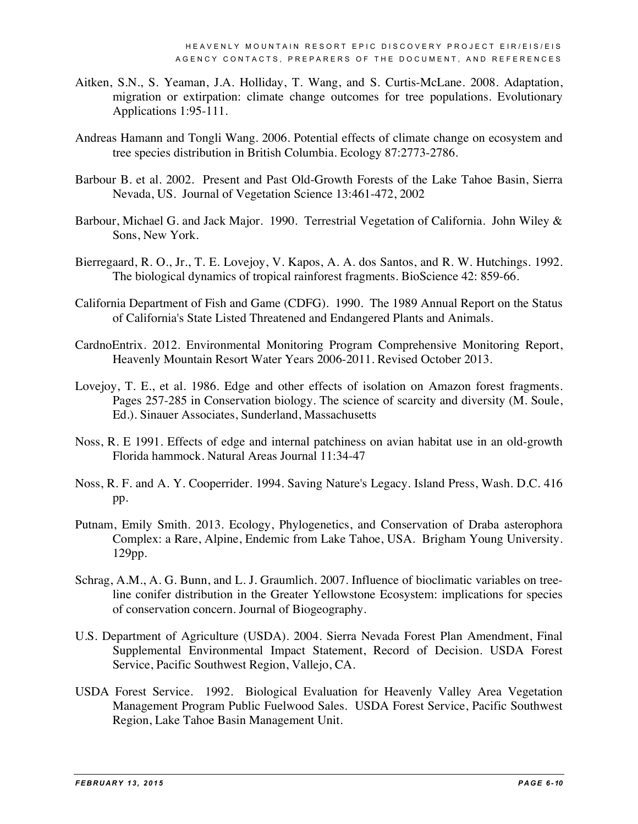- Aitken, S.N., S. Yeaman, J.A. Holliday, T. Wang, and S. Curtis-McLane. 2008. Adaptation, migration or extirpation: climate change outcomes for tree populations. Evolutionary Applications 1:95-111.
- Andreas Hamann and Tongli Wang. 2006. Potential effects of climate change on ecosystem and tree species distribution in British Columbia. Ecology 87:2773-2786.
- Barbour B. et al. 2002. Present and Past Old-Growth Forests of the Lake Tahoe Basin, Sierra Nevada, US. Journal of Vegetation Science 13:461-472, 2002
- Barbour, Michael G. and Jack Major. 1990. Terrestrial Vegetation of California. John Wiley & Sons, New York.
- Bierregaard, R. O., Jr., T. E. Lovejoy, V. Kapos, A. A. dos Santos, and R. W. Hutchings. 1992. The biological dynamics of tropical rainforest fragments. BioScience 42: 859-66.
- California Department of Fish and Game (CDFG). 1990. The 1989 Annual Report on the Status of California's State Listed Threatened and Endangered Plants and Animals.
- CardnoEntrix. 2012. Environmental Monitoring Program Comprehensive Monitoring Report, Heavenly Mountain Resort Water Years 2006-2011. Revised October 2013.
- Lovejoy, T. E., et al. 1986. Edge and other effects of isolation on Amazon forest fragments. Pages 257-285 in Conservation biology. The science of scarcity and diversity (M. Soule, Ed.). Sinauer Associates, Sunderland, Massachusetts
- Noss, R. E 1991. Effects of edge and internal patchiness on avian habitat use in an old-growth Florida hammock. Natural Areas Journal 11:34-47
- Noss, R. F. and A. Y. Cooperrider. 1994. Saving Nature's Legacy. Island Press, Wash. D.C. 416 pp.
- Putnam, Emily Smith. 2013. Ecology, Phylogenetics, and Conservation of Draba asterophora Complex: a Rare, Alpine, Endemic from Lake Tahoe, USA. Brigham Young University. 129pp.
- Schrag, A.M., A. G. Bunn, and L. J. Graumlich. 2007. Influence of bioclimatic variables on treeline conifer distribution in the Greater Yellowstone Ecosystem: implications for species of conservation concern. Journal of Biogeography.
- U.S. Department of Agriculture (USDA). 2004. Sierra Nevada Forest Plan Amendment, Final Supplemental Environmental Impact Statement, Record of Decision. USDA Forest Service, Pacific Southwest Region, Vallejo, CA.
- USDA Forest Service. 1992. Biological Evaluation for Heavenly Valley Area Vegetation Management Program Public Fuelwood Sales. USDA Forest Service, Pacific Southwest Region, Lake Tahoe Basin Management Unit.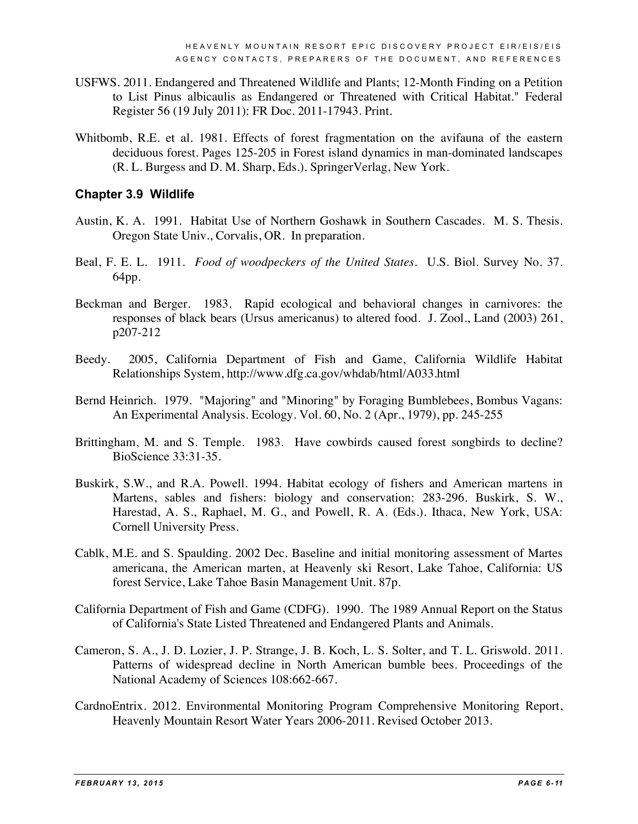- USFWS. 2011. Endangered and Threatened Wildlife and Plants; 12-Month Finding on a Petition to List Pinus albicaulis as Endangered or Threatened with Critical Habitat." Federal Register 56 (19 July 2011): FR Doc. 2011-17943. Print.
- Whitbomb, R.E. et al. 1981. Effects of forest fragmentation on the avifauna of the eastern deciduous forest. Pages 125-205 in Forest island dynamics in man-dominated landscapes (R. L. Burgess and D. M. Sharp, Eds.). SpringerVerlag, New York.

#### **Chapter 3.9 Wildlife**

- Austin, K. A. 1991. Habitat Use of Northern Goshawk in Southern Cascades. M. S. Thesis. Oregon State Univ., Corvalis, OR. In preparation.
- Beal, F. E. L. 1911. *Food of woodpeckers of the United States*. U.S. Biol. Survey No. 37. 64pp.
- Beckman and Berger. 1983. Rapid ecological and behavioral changes in carnivores: the responses of black bears (Ursus americanus) to altered food. J. Zool., Land (2003) 261, p207-212
- Beedy. 2005, California Department of Fish and Game, California Wildlife Habitat Relationships System, http://www.dfg.ca.gov/whdab/html/A033.html
- Bernd Heinrich. 1979. "Majoring" and "Minoring" by Foraging Bumblebees, Bombus Vagans: An Experimental Analysis. Ecology. Vol. 60, No. 2 (Apr., 1979), pp. 245-255
- Brittingham, M. and S. Temple. 1983. Have cowbirds caused forest songbirds to decline? BioScience 33:31-35.
- Buskirk, S.W., and R.A. Powell. 1994. Habitat ecology of fishers and American martens in Martens, sables and fishers: biology and conservation: 283-296. Buskirk, S. W., Harestad, A. S., Raphael, M. G., and Powell, R. A. (Eds.). Ithaca, New York, USA: Cornell University Press.
- Cablk, M.E. and S. Spaulding. 2002 Dec. Baseline and initial monitoring assessment of Martes americana, the American marten, at Heavenly ski Resort, Lake Tahoe, California: US forest Service, Lake Tahoe Basin Management Unit. 87p.
- California Department of Fish and Game (CDFG). 1990. The 1989 Annual Report on the Status of California's State Listed Threatened and Endangered Plants and Animals.
- Cameron, S. A., J. D. Lozier, J. P. Strange, J. B. Koch, L. S. Solter, and T. L. Griswold. 2011. Patterns of widespread decline in North American bumble bees. Proceedings of the National Academy of Sciences 108:662-667.
- CardnoEntrix. 2012. Environmental Monitoring Program Comprehensive Monitoring Report, Heavenly Mountain Resort Water Years 2006-2011. Revised October 2013.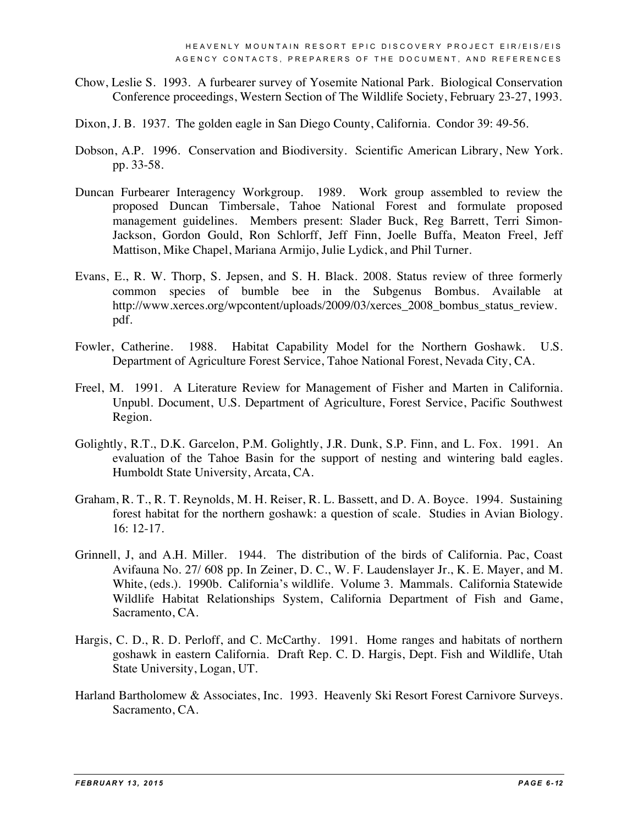- Chow, Leslie S. 1993. A furbearer survey of Yosemite National Park. Biological Conservation Conference proceedings, Western Section of The Wildlife Society, February 23-27, 1993.
- Dixon, J. B. 1937. The golden eagle in San Diego County, California. Condor 39: 49-56.
- Dobson, A.P. 1996. Conservation and Biodiversity. Scientific American Library, New York. pp. 33-58.
- Duncan Furbearer Interagency Workgroup. 1989. Work group assembled to review the proposed Duncan Timbersale, Tahoe National Forest and formulate proposed management guidelines. Members present: Slader Buck, Reg Barrett, Terri Simon-Jackson, Gordon Gould, Ron Schlorff, Jeff Finn, Joelle Buffa, Meaton Freel, Jeff Mattison, Mike Chapel, Mariana Armijo, Julie Lydick, and Phil Turner.
- Evans, E., R. W. Thorp, S. Jepsen, and S. H. Black. 2008. Status review of three formerly common species of bumble bee in the Subgenus Bombus. Available at http://www.xerces.org/wpcontent/uploads/2009/03/xerces\_2008\_bombus\_status\_review. pdf.
- Fowler, Catherine. 1988. Habitat Capability Model for the Northern Goshawk. U.S. Department of Agriculture Forest Service, Tahoe National Forest, Nevada City, CA.
- Freel, M. 1991. A Literature Review for Management of Fisher and Marten in California. Unpubl. Document, U.S. Department of Agriculture, Forest Service, Pacific Southwest Region.
- Golightly, R.T., D.K. Garcelon, P.M. Golightly, J.R. Dunk, S.P. Finn, and L. Fox. 1991. An evaluation of the Tahoe Basin for the support of nesting and wintering bald eagles. Humboldt State University, Arcata, CA.
- Graham, R. T., R. T. Reynolds, M. H. Reiser, R. L. Bassett, and D. A. Boyce. 1994. Sustaining forest habitat for the northern goshawk: a question of scale. Studies in Avian Biology. 16: 12-17.
- Grinnell, J, and A.H. Miller. 1944. The distribution of the birds of California. Pac, Coast Avifauna No. 27/ 608 pp. In Zeiner, D. C., W. F. Laudenslayer Jr., K. E. Mayer, and M. White, (eds.). 1990b. California's wildlife. Volume 3. Mammals. California Statewide Wildlife Habitat Relationships System, California Department of Fish and Game, Sacramento, CA.
- Hargis, C. D., R. D. Perloff, and C. McCarthy. 1991. Home ranges and habitats of northern goshawk in eastern California. Draft Rep. C. D. Hargis, Dept. Fish and Wildlife, Utah State University, Logan, UT.
- Harland Bartholomew & Associates, Inc. 1993. Heavenly Ski Resort Forest Carnivore Surveys. Sacramento, CA.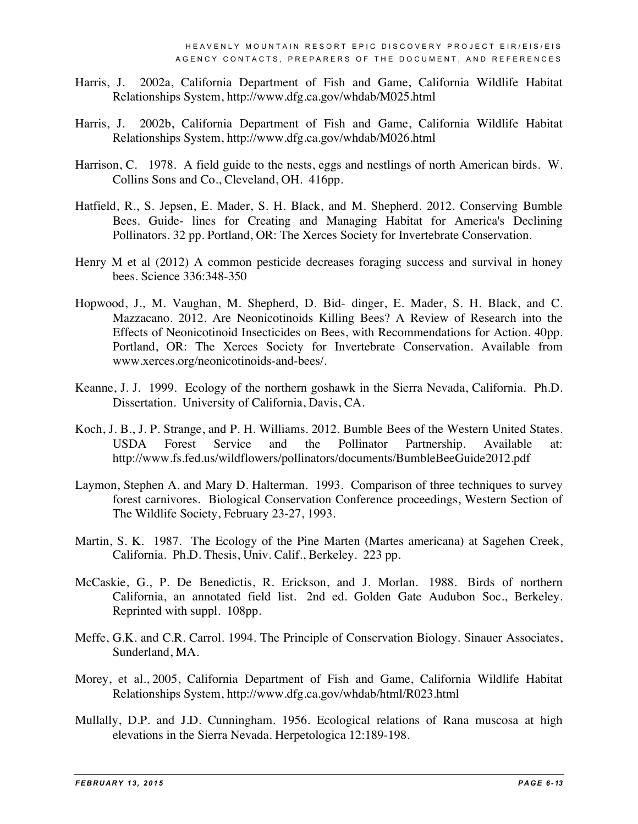- Harris, J. 2002a, California Department of Fish and Game, California Wildlife Habitat Relationships System, http://www.dfg.ca.gov/whdab/M025.html
- Harris, J. 2002b, California Department of Fish and Game, California Wildlife Habitat Relationships System, http://www.dfg.ca.gov/whdab/M026.html
- Harrison, C. 1978. A field guide to the nests, eggs and nestlings of north American birds. W. Collins Sons and Co., Cleveland, OH. 416pp.
- Hatfield, R., S. Jepsen, E. Mader, S. H. Black, and M. Shepherd. 2012. Conserving Bumble Bees. Guide- lines for Creating and Managing Habitat for America's Declining Pollinators. 32 pp. Portland, OR: The Xerces Society for Invertebrate Conservation.
- Henry M et al (2012) A common pesticide decreases foraging success and survival in honey bees. Science 336:348-350
- Hopwood, J., M. Vaughan, M. Shepherd, D. Bid- dinger, E. Mader, S. H. Black, and C. Mazzacano. 2012. Are Neonicotinoids Killing Bees? A Review of Research into the Effects of Neonicotinoid Insecticides on Bees, with Recommendations for Action. 40pp. Portland, OR: The Xerces Society for Invertebrate Conservation. Available from www.xerces.org/neonicotinoids-and-bees/.
- Keanne, J. J. 1999. Ecology of the northern goshawk in the Sierra Nevada, California. Ph.D. Dissertation. University of California, Davis, CA.
- Koch, J. B., J. P. Strange, and P. H. Williams. 2012. Bumble Bees of the Western United States. USDA Forest Service and the Pollinator Partnership. Available at: http://www.fs.fed.us/wildflowers/pollinators/documents/BumbleBeeGuide2012.pdf
- Laymon, Stephen A. and Mary D. Halterman. 1993. Comparison of three techniques to survey forest carnivores. Biological Conservation Conference proceedings, Western Section of The Wildlife Society, February 23-27, 1993.
- Martin, S. K. 1987. The Ecology of the Pine Marten (Martes americana) at Sagehen Creek, California. Ph.D. Thesis, Univ. Calif., Berkeley. 223 pp.
- McCaskie, G., P. De Benedictis, R. Erickson, and J. Morlan. 1988. Birds of northern California, an annotated field list. 2nd ed. Golden Gate Audubon Soc., Berkeley. Reprinted with suppl. 108pp.
- Meffe, G.K. and C.R. Carrol. 1994. The Principle of Conservation Biology. Sinauer Associates, Sunderland, MA.
- Morey, et al., 2005, California Department of Fish and Game, California Wildlife Habitat Relationships System, http://www.dfg.ca.gov/whdab/html/R023.html
- Mullally, D.P. and J.D. Cunningham. 1956. Ecological relations of Rana muscosa at high elevations in the Sierra Nevada. Herpetologica 12:189-198.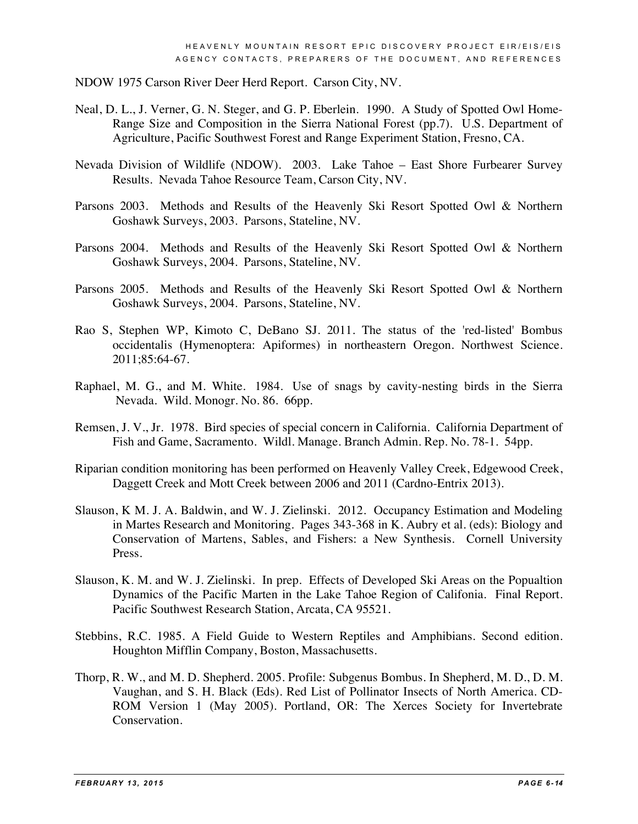NDOW 1975 Carson River Deer Herd Report. Carson City, NV.

- Neal, D. L., J. Verner, G. N. Steger, and G. P. Eberlein. 1990. A Study of Spotted Owl Home-Range Size and Composition in the Sierra National Forest (pp.7). U.S. Department of Agriculture, Pacific Southwest Forest and Range Experiment Station, Fresno, CA.
- Nevada Division of Wildlife (NDOW). 2003. Lake Tahoe East Shore Furbearer Survey Results. Nevada Tahoe Resource Team, Carson City, NV.
- Parsons 2003. Methods and Results of the Heavenly Ski Resort Spotted Owl & Northern Goshawk Surveys, 2003. Parsons, Stateline, NV.
- Parsons 2004. Methods and Results of the Heavenly Ski Resort Spotted Owl & Northern Goshawk Surveys, 2004. Parsons, Stateline, NV.
- Parsons 2005. Methods and Results of the Heavenly Ski Resort Spotted Owl & Northern Goshawk Surveys, 2004. Parsons, Stateline, NV.
- Rao S, Stephen WP, Kimoto C, DeBano SJ. 2011. The status of the 'red-listed' Bombus occidentalis (Hymenoptera: Apiformes) in northeastern Oregon. Northwest Science. 2011;85:64-67.
- Raphael, M. G., and M. White. 1984. Use of snags by cavity-nesting birds in the Sierra Nevada. Wild. Monogr. No. 86. 66pp.
- Remsen, J. V., Jr. 1978. Bird species of special concern in California. California Department of Fish and Game, Sacramento. Wildl. Manage. Branch Admin. Rep. No. 78-1. 54pp.
- Riparian condition monitoring has been performed on Heavenly Valley Creek, Edgewood Creek, Daggett Creek and Mott Creek between 2006 and 2011 (Cardno-Entrix 2013).
- Slauson, K M. J. A. Baldwin, and W. J. Zielinski. 2012. Occupancy Estimation and Modeling in Martes Research and Monitoring. Pages 343-368 in K. Aubry et al. (eds): Biology and Conservation of Martens, Sables, and Fishers: a New Synthesis. Cornell University Press.
- Slauson, K. M. and W. J. Zielinski. In prep. Effects of Developed Ski Areas on the Popualtion Dynamics of the Pacific Marten in the Lake Tahoe Region of Califonia. Final Report. Pacific Southwest Research Station, Arcata, CA 95521.
- Stebbins, R.C. 1985. A Field Guide to Western Reptiles and Amphibians. Second edition. Houghton Mifflin Company, Boston, Massachusetts.
- Thorp, R. W., and M. D. Shepherd. 2005. Profile: Subgenus Bombus. In Shepherd, M. D., D. M. Vaughan, and S. H. Black (Eds). Red List of Pollinator Insects of North America. CD-ROM Version 1 (May 2005). Portland, OR: The Xerces Society for Invertebrate Conservation.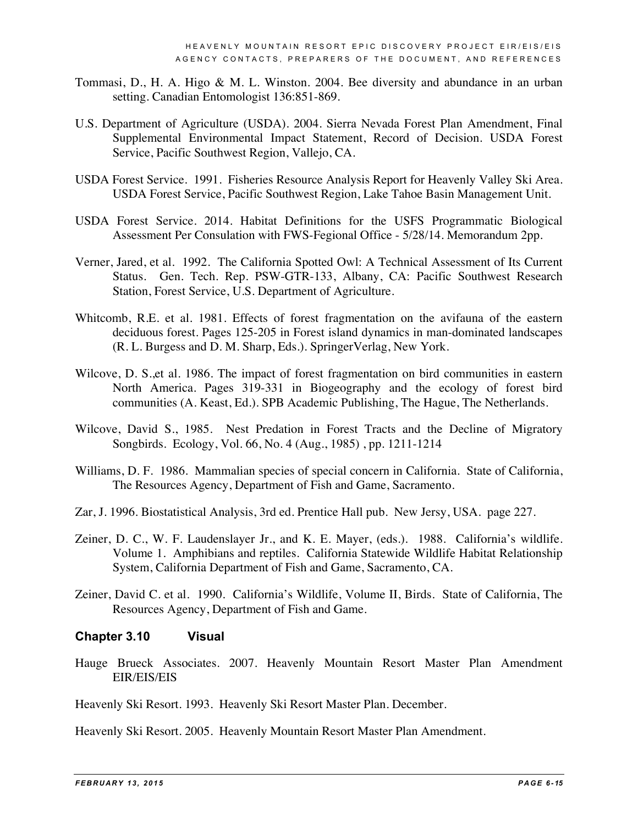- Tommasi, D., H. A. Higo & M. L. Winston. 2004. Bee diversity and abundance in an urban setting. Canadian Entomologist 136:851-869.
- U.S. Department of Agriculture (USDA). 2004. Sierra Nevada Forest Plan Amendment, Final Supplemental Environmental Impact Statement, Record of Decision. USDA Forest Service, Pacific Southwest Region, Vallejo, CA.
- USDA Forest Service. 1991. Fisheries Resource Analysis Report for Heavenly Valley Ski Area. USDA Forest Service, Pacific Southwest Region, Lake Tahoe Basin Management Unit.
- USDA Forest Service. 2014. Habitat Definitions for the USFS Programmatic Biological Assessment Per Consulation with FWS-Fegional Office - 5/28/14. Memorandum 2pp.
- Verner, Jared, et al. 1992. The California Spotted Owl: A Technical Assessment of Its Current Status. Gen. Tech. Rep. PSW-GTR-133, Albany, CA: Pacific Southwest Research Station, Forest Service, U.S. Department of Agriculture.
- Whitcomb, R.E. et al. 1981. Effects of forest fragmentation on the avifauna of the eastern deciduous forest. Pages 125-205 in Forest island dynamics in man-dominated landscapes (R. L. Burgess and D. M. Sharp, Eds.). SpringerVerlag, New York.
- Wilcove, D. S.,et al. 1986. The impact of forest fragmentation on bird communities in eastern North America. Pages 319-331 in Biogeography and the ecology of forest bird communities (A. Keast, Ed.). SPB Academic Publishing, The Hague, The Netherlands.
- Wilcove, David S., 1985. Nest Predation in Forest Tracts and the Decline of Migratory Songbirds. Ecology, Vol. 66, No. 4 (Aug., 1985) , pp. 1211-1214
- Williams, D. F. 1986. Mammalian species of special concern in California. State of California, The Resources Agency, Department of Fish and Game, Sacramento.
- Zar, J. 1996. Biostatistical Analysis, 3rd ed. Prentice Hall pub. New Jersy, USA. page 227.
- Zeiner, D. C., W. F. Laudenslayer Jr., and K. E. Mayer, (eds.). 1988. California's wildlife. Volume 1. Amphibians and reptiles. California Statewide Wildlife Habitat Relationship System, California Department of Fish and Game, Sacramento, CA.
- Zeiner, David C. et al. 1990. California's Wildlife, Volume II, Birds. State of California, The Resources Agency, Department of Fish and Game.

#### **Chapter 3.10 Visual**

Hauge Brueck Associates. 2007. Heavenly Mountain Resort Master Plan Amendment EIR/EIS/EIS

Heavenly Ski Resort. 1993. Heavenly Ski Resort Master Plan. December.

Heavenly Ski Resort. 2005. Heavenly Mountain Resort Master Plan Amendment.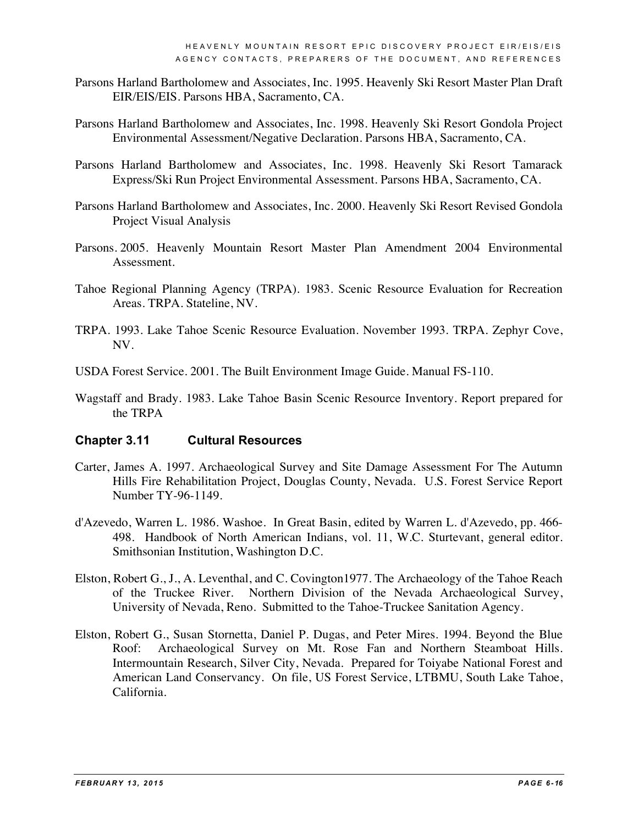- Parsons Harland Bartholomew and Associates, Inc. 1995. Heavenly Ski Resort Master Plan Draft EIR/EIS/EIS. Parsons HBA, Sacramento, CA.
- Parsons Harland Bartholomew and Associates, Inc. 1998. Heavenly Ski Resort Gondola Project Environmental Assessment/Negative Declaration. Parsons HBA, Sacramento, CA.
- Parsons Harland Bartholomew and Associates, Inc. 1998. Heavenly Ski Resort Tamarack Express/Ski Run Project Environmental Assessment. Parsons HBA, Sacramento, CA.
- Parsons Harland Bartholomew and Associates, Inc. 2000. Heavenly Ski Resort Revised Gondola Project Visual Analysis
- Parsons. 2005. Heavenly Mountain Resort Master Plan Amendment 2004 Environmental Assessment.
- Tahoe Regional Planning Agency (TRPA). 1983. Scenic Resource Evaluation for Recreation Areas. TRPA. Stateline, NV.
- TRPA. 1993. Lake Tahoe Scenic Resource Evaluation. November 1993. TRPA. Zephyr Cove, NV.
- USDA Forest Service. 2001. The Built Environment Image Guide. Manual FS-110.
- Wagstaff and Brady. 1983. Lake Tahoe Basin Scenic Resource Inventory. Report prepared for the TRPA

#### **Chapter 3.11 Cultural Resources**

- Carter, James A. 1997. Archaeological Survey and Site Damage Assessment For The Autumn Hills Fire Rehabilitation Project, Douglas County, Nevada. U.S. Forest Service Report Number TY-96-1149.
- d'Azevedo, Warren L. 1986. Washoe. In Great Basin, edited by Warren L. d'Azevedo, pp. 466- 498. Handbook of North American Indians, vol. 11, W.C. Sturtevant, general editor. Smithsonian Institution, Washington D.C.
- Elston, Robert G., J., A. Leventhal, and C. Covington1977. The Archaeology of the Tahoe Reach of the Truckee River. Northern Division of the Nevada Archaeological Survey, University of Nevada, Reno. Submitted to the Tahoe-Truckee Sanitation Agency.
- Elston, Robert G., Susan Stornetta, Daniel P. Dugas, and Peter Mires. 1994. Beyond the Blue Roof: Archaeological Survey on Mt. Rose Fan and Northern Steamboat Hills. Intermountain Research, Silver City, Nevada. Prepared for Toiyabe National Forest and American Land Conservancy. On file, US Forest Service, LTBMU, South Lake Tahoe, California.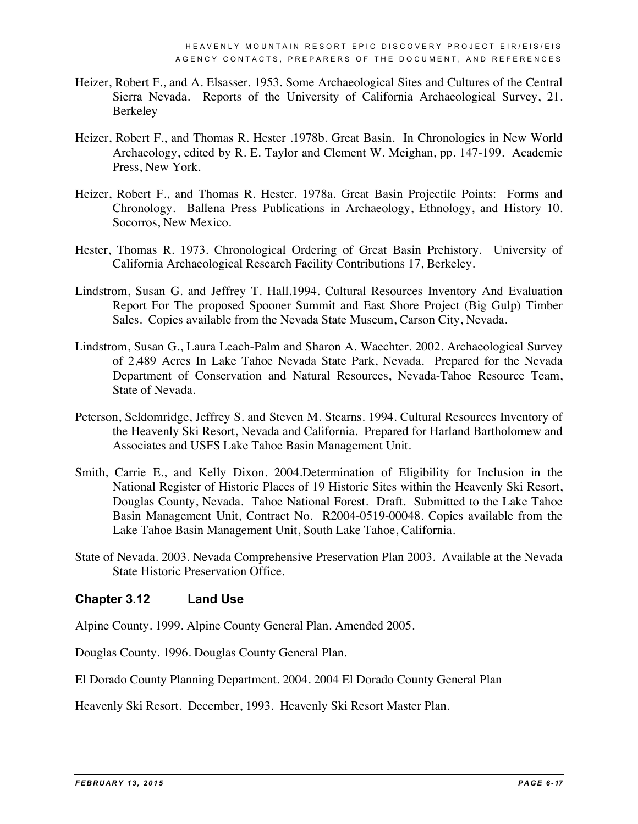- Heizer, Robert F., and A. Elsasser. 1953. Some Archaeological Sites and Cultures of the Central Sierra Nevada. Reports of the University of California Archaeological Survey, 21. Berkeley
- Heizer, Robert F., and Thomas R. Hester .1978b. Great Basin. In Chronologies in New World Archaeology, edited by R. E. Taylor and Clement W. Meighan, pp. 147-199. Academic Press, New York.
- Heizer, Robert F., and Thomas R. Hester. 1978a. Great Basin Projectile Points: Forms and Chronology. Ballena Press Publications in Archaeology, Ethnology, and History 10. Socorros, New Mexico.
- Hester, Thomas R. 1973. Chronological Ordering of Great Basin Prehistory. University of California Archaeological Research Facility Contributions 17, Berkeley.
- Lindstrom, Susan G. and Jeffrey T. Hall.1994. Cultural Resources Inventory And Evaluation Report For The proposed Spooner Summit and East Shore Project (Big Gulp) Timber Sales. Copies available from the Nevada State Museum, Carson City, Nevada.
- Lindstrom, Susan G., Laura Leach-Palm and Sharon A. Waechter. 2002. Archaeological Survey of 2,489 Acres In Lake Tahoe Nevada State Park, Nevada. Prepared for the Nevada Department of Conservation and Natural Resources, Nevada-Tahoe Resource Team, State of Nevada.
- Peterson, Seldomridge, Jeffrey S. and Steven M. Stearns. 1994. Cultural Resources Inventory of the Heavenly Ski Resort, Nevada and California. Prepared for Harland Bartholomew and Associates and USFS Lake Tahoe Basin Management Unit.
- Smith, Carrie E., and Kelly Dixon. 2004.Determination of Eligibility for Inclusion in the National Register of Historic Places of 19 Historic Sites within the Heavenly Ski Resort, Douglas County, Nevada. Tahoe National Forest. Draft. Submitted to the Lake Tahoe Basin Management Unit, Contract No. R2004-0519-00048. Copies available from the Lake Tahoe Basin Management Unit, South Lake Tahoe, California.
- State of Nevada. 2003. Nevada Comprehensive Preservation Plan 2003. Available at the Nevada State Historic Preservation Office.

#### **Chapter 3.12 Land Use**

Alpine County. 1999. Alpine County General Plan. Amended 2005.

Douglas County. 1996. Douglas County General Plan.

El Dorado County Planning Department. 2004. 2004 El Dorado County General Plan

Heavenly Ski Resort. December, 1993. Heavenly Ski Resort Master Plan.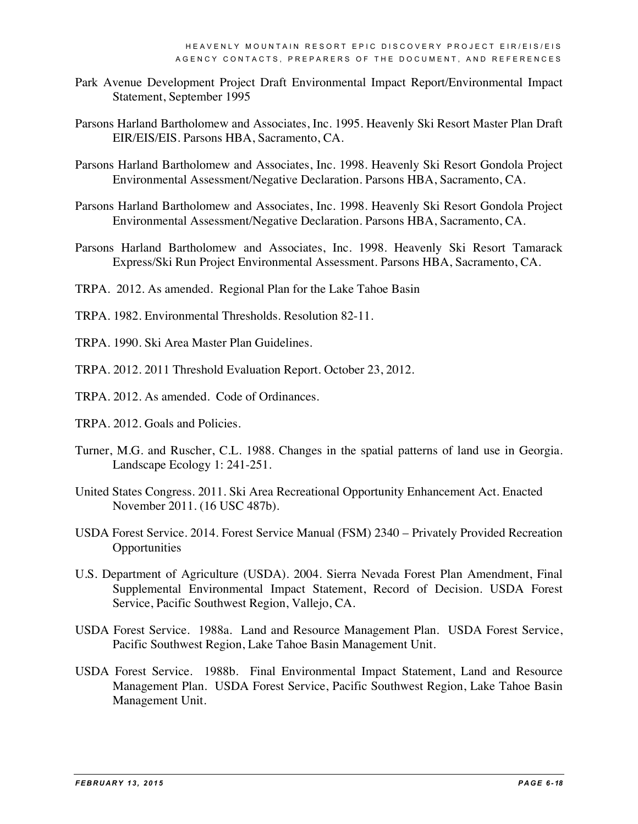- Park Avenue Development Project Draft Environmental Impact Report/Environmental Impact Statement, September 1995
- Parsons Harland Bartholomew and Associates, Inc. 1995. Heavenly Ski Resort Master Plan Draft EIR/EIS/EIS. Parsons HBA, Sacramento, CA.
- Parsons Harland Bartholomew and Associates, Inc. 1998. Heavenly Ski Resort Gondola Project Environmental Assessment/Negative Declaration. Parsons HBA, Sacramento, CA.
- Parsons Harland Bartholomew and Associates, Inc. 1998. Heavenly Ski Resort Gondola Project Environmental Assessment/Negative Declaration. Parsons HBA, Sacramento, CA.
- Parsons Harland Bartholomew and Associates, Inc. 1998. Heavenly Ski Resort Tamarack Express/Ski Run Project Environmental Assessment. Parsons HBA, Sacramento, CA.
- TRPA. 2012. As amended. Regional Plan for the Lake Tahoe Basin
- TRPA. 1982. Environmental Thresholds. Resolution 82-11.
- TRPA. 1990. Ski Area Master Plan Guidelines.
- TRPA. 2012. 2011 Threshold Evaluation Report. October 23, 2012.
- TRPA. 2012. As amended. Code of Ordinances.
- TRPA. 2012. Goals and Policies.
- Turner, M.G. and Ruscher, C.L. 1988. Changes in the spatial patterns of land use in Georgia. Landscape Ecology 1: 241-251.
- United States Congress. 2011. Ski Area Recreational Opportunity Enhancement Act. Enacted November 2011. (16 USC 487b).
- USDA Forest Service. 2014. Forest Service Manual (FSM) 2340 Privately Provided Recreation **Opportunities**
- U.S. Department of Agriculture (USDA). 2004. Sierra Nevada Forest Plan Amendment, Final Supplemental Environmental Impact Statement, Record of Decision. USDA Forest Service, Pacific Southwest Region, Vallejo, CA.
- USDA Forest Service. 1988a. Land and Resource Management Plan. USDA Forest Service, Pacific Southwest Region, Lake Tahoe Basin Management Unit.
- USDA Forest Service. 1988b. Final Environmental Impact Statement, Land and Resource Management Plan. USDA Forest Service, Pacific Southwest Region, Lake Tahoe Basin Management Unit.